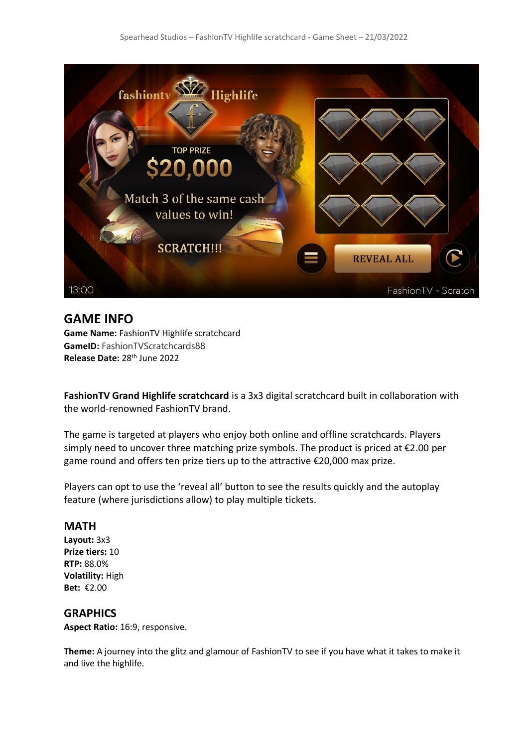

## **GAME INFO**

**Game Name:** FashionTV Highlife scratchcard **GameID:** FashionTVScratchcards88 **Release Date:** 28th June 2022

**FashionTV Grand Highlife scratchcard** is a 3x3 digital scratchcard built in collaboration with the world-renowned FashionTV brand.

The game is targeted at players who enjoy both online and offline scratchcards. Players simply need to uncover three matching prize symbols. The product is priced at  $\epsilon$ 2.00 per game round and offers ten prize tiers up to the attractive €20,000 max prize.

Players can opt to use the 'reveal all' button to see the results quickly and the autoplay feature (where jurisdictions allow) to play multiple tickets.

#### **MATH**

**Layout:** 3x3 **Prize tiers:** 10 **RTP:** 88.0% **Volatility:** High **Bet:** €2.00

### **GRAPHICS**

**Aspect Ratio:** 16:9, responsive.

**Theme:** A journey into the glitz and glamour of FashionTV to see if you have what it takes to make it and live the highlife.